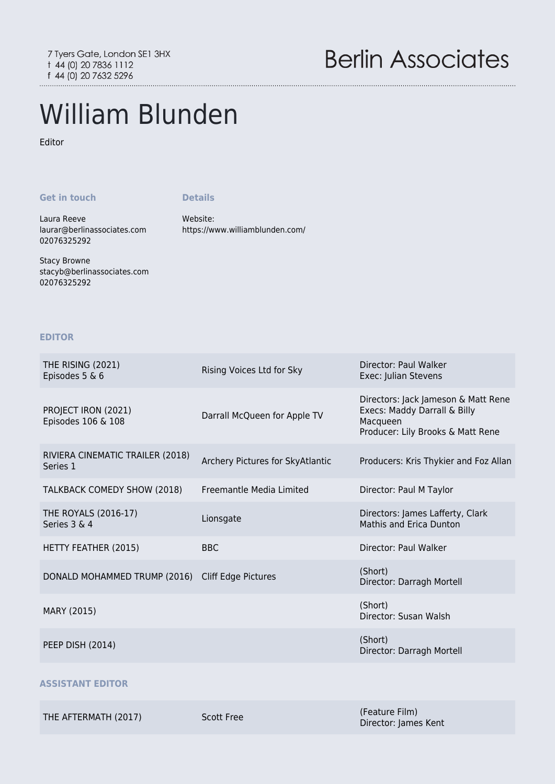## William Blunden

Editor

## **Get in touch**

**Details**

Website:

<https://www.williamblunden.com/>

Laura Reeve [laurar@berlinassociates.com](mailto:laurar@berlinassociates.com) 02076325292

Stacy Browne [stacyb@berlinassociates.com](mailto:stacyb@berlinassociates.com) 02076325292

**EDITOR**

| THE RISING (2021)<br>Episodes 5 & 6              | Rising Voices Ltd for Sky        | Director: Paul Walker<br>Exec: Julian Stevens                                                                        |
|--------------------------------------------------|----------------------------------|----------------------------------------------------------------------------------------------------------------------|
| PROJECT IRON (2021)<br>Episodes 106 & 108        | Darrall McQueen for Apple TV     | Directors: Jack Jameson & Matt Rene<br>Execs: Maddy Darrall & Billy<br>Macqueen<br>Producer: Lily Brooks & Matt Rene |
| RIVIERA CINEMATIC TRAILER (2018)<br>Series 1     | Archery Pictures for SkyAtlantic | Producers: Kris Thykier and Foz Allan                                                                                |
| TALKBACK COMEDY SHOW (2018)                      | Freemantle Media Limited         | Director: Paul M Taylor                                                                                              |
| THE ROYALS (2016-17)<br>Series 3 & 4             | Lionsgate                        | Directors: James Lafferty, Clark<br>Mathis and Erica Dunton                                                          |
| HETTY FEATHER (2015)                             | <b>BBC</b>                       | Director: Paul Walker                                                                                                |
| DONALD MOHAMMED TRUMP (2016) Cliff Edge Pictures |                                  | (Short)<br>Director: Darragh Mortell                                                                                 |
| MARY (2015)                                      |                                  | (Short)<br>Director: Susan Walsh                                                                                     |
| <b>PEEP DISH (2014)</b>                          |                                  | (Short)<br>Director: Darragh Mortell                                                                                 |
| ASSISTANT EDITOR                                 |                                  |                                                                                                                      |

THE AFTERMATH (2017) Scott Free (Feature Film)

Director: James Kent